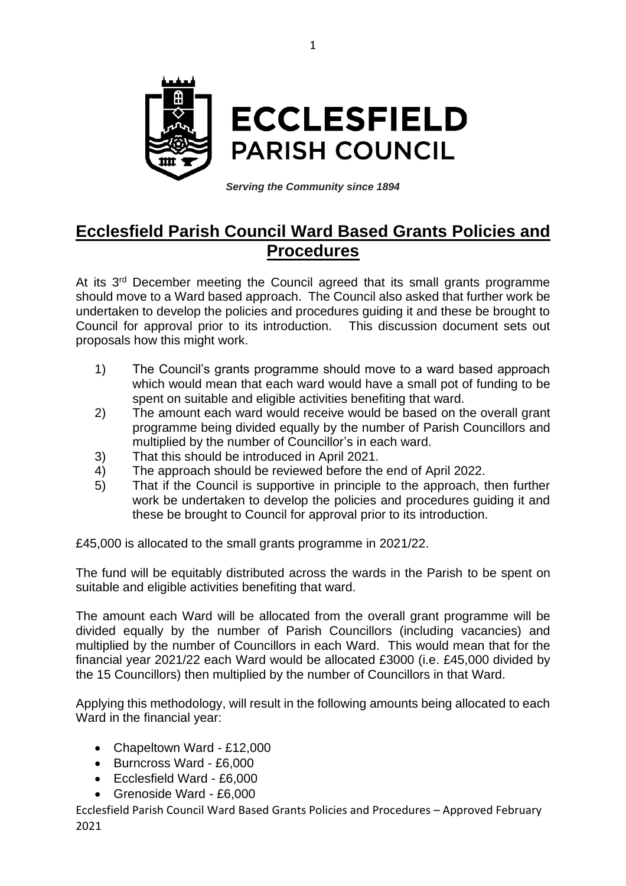

*Serving the Community since 1894*

## **Ecclesfield Parish Council Ward Based Grants Policies and Procedures**

At its 3<sup>rd</sup> December meeting the Council agreed that its small grants programme should move to a Ward based approach. The Council also asked that further work be undertaken to develop the policies and procedures guiding it and these be brought to Council for approval prior to its introduction. This discussion document sets out proposals how this might work.

- 1) The Council's grants programme should move to a ward based approach which would mean that each ward would have a small pot of funding to be spent on suitable and eligible activities benefiting that ward.
- 2) The amount each ward would receive would be based on the overall grant programme being divided equally by the number of Parish Councillors and multiplied by the number of Councillor's in each ward.
- 3) That this should be introduced in April 2021.
- 4) The approach should be reviewed before the end of April 2022.
- 5) That if the Council is supportive in principle to the approach, then further work be undertaken to develop the policies and procedures guiding it and these be brought to Council for approval prior to its introduction.

£45,000 is allocated to the small grants programme in 2021/22.

The fund will be equitably distributed across the wards in the Parish to be spent on suitable and eligible activities benefiting that ward.

The amount each Ward will be allocated from the overall grant programme will be divided equally by the number of Parish Councillors (including vacancies) and multiplied by the number of Councillors in each Ward. This would mean that for the financial year 2021/22 each Ward would be allocated £3000 (i.e. £45,000 divided by the 15 Councillors) then multiplied by the number of Councillors in that Ward.

Applying this methodology, will result in the following amounts being allocated to each Ward in the financial year:

- Chapeltown Ward £12,000
- Burncross Ward £6,000
- Ecclesfield Ward £6,000
- Grenoside Ward £6,000

Ecclesfield Parish Council Ward Based Grants Policies and Procedures – Approved February 2021

1